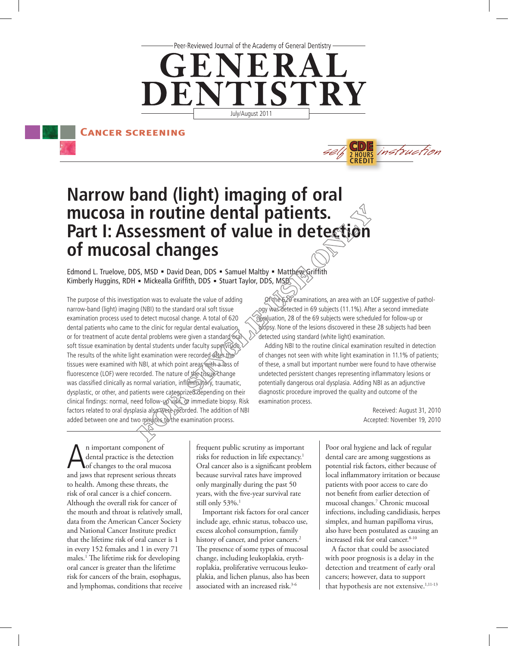Peer-Reviewed Journal of the Academy of General Dentistry -



**Cancer screening**



# **Narrow band (light) imaging of oral mucosa in routine dental patients. Part I: Assessment of value in detection of mucosal changes**

Edmond L. Truelove, DDS, MSD = David Dean, DDS = Samuel Maltby = Matthew Griffith Kimberly Huggins, RDH = Mickealla Griffith, DDS = Stuart Taylor, DDS, MSD

The purpose of this investigation was to evaluate the value of adding narrow-band (light) imaging (NBI) to the standard oral soft tissue examination process used to detect mucosal change. A total of 620 dental patients who came to the clinic for regular dental evaluation or for treatment of acute dental problems were given a standard oral soft tissue examination by dental students under faculty supervision. The results of the white light examination were recorded after the tissues were examined with NBI, at which point areas with a loss of fluorescence (LOF) were recorded. The nature of the tissue change was classified clinically as normal variation, inflammatory, traumatic, dysplastic, or other, and patients were categorized depending on their clinical findings: normal, need follow-up visit, or immediate biopsy. Risk factors related to oral dysplasia also were recorded. The addition of NBI added between one and two minutes to the examination process.

Of the 620 examinations, an area with an LOF suggestive of pathology was detected in 69 subjects (11.1%). After a second immediate evaluation, 28 of the 69 subjects were scheduled for follow-up or biopsy. None of the lesions discovered in these 28 subjects had been detected using standard (white light) examination.

Adding NBI to the routine clinical examination resulted in detection of changes not seen with white light examination in 11.1% of patients; of these, a small but important number were found to have otherwise undetected persistent changes representing inflammatory lesions or potentially dangerous oral dysplasia. Adding NBI as an adjunctive diagnostic procedure improved the quality and outcome of the examination process.

> Received: August 31, 2010 Accepted: November 19, 2010

An important component of<br>dental practice is the detection<br>and jours that represent serious the dental practice is the detection of changes to the oral mucosa and jaws that represent serious threats to health. Among these threats, the risk of oral cancer is a chief concern. Although the overall risk for cancer of the mouth and throat is relatively small, data from the American Cancer Society and National Cancer Institute predict that the lifetime risk of oral cancer is 1 in every 152 females and 1 in every 71 males.1 The lifetime risk for developing oral cancer is greater than the lifetime risk for cancers of the brain, esophagus, and lymphomas, conditions that receive frequent public scrutiny as important risks for reduction in life expectancy.1 Oral cancer also is a significant problem because survival rates have improved only marginally during the past 50 years, with the five-year survival rate still only  $53\%$ .<sup>1</sup>

Important risk factors for oral cancer include age, ethnic status, tobacco use, excess alcohol consumption, family history of cancer, and prior cancers.<sup>2</sup> The presence of some types of mucosal change, including leukoplakia, erythroplakia, proliferative verrucous leukoplakia, and lichen planus, also has been associated with an increased risk.<sup>3-6</sup>

Poor oral hygiene and lack of regular dental care are among suggestions as potential risk factors, either because of local inflammatory irritation or because patients with poor access to care do not benefit from earlier detection of mucosal changes.7 Chronic mucosal infections, including candidiasis, herpes simplex, and human papilloma virus, also have been postulated as causing an increased risk for oral cancer.<sup>8-10</sup>

A factor that could be associated with poor prognosis is a delay in the detection and treatment of early oral cancers; however, data to support that hypothesis are not extensive.<sup>1,11-13</sup>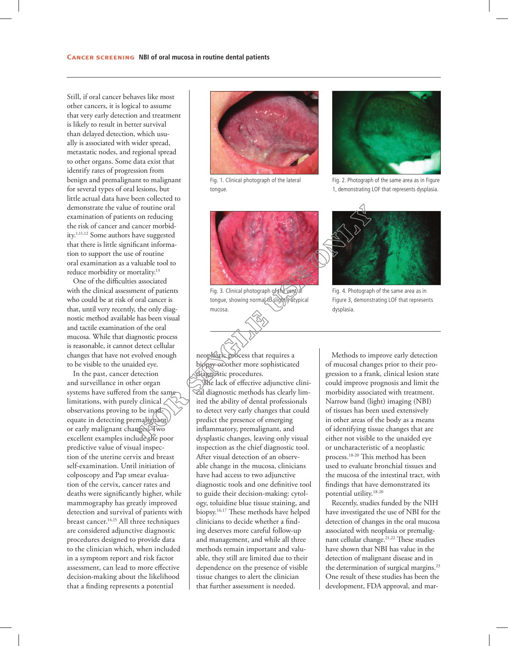Still, if oral cancer behaves like most other cancers, it is logical to assume that very early detection and treatment is likely to result in better survival than delayed detection, which usually is associated with wider spread, metastatic nodes, and regional spread to other organs. Some data exist that identify rates of progression from benign and premalignant to malignant for several types of oral lesions, but little actual data have been collected to demonstrate the value of routine oral examination of patients on reducing the risk of cancer and cancer morbidity.1,11,12 Some authors have suggested that there is little significant information to support the use of routine oral examination as a valuable tool to reduce morbidity or mortality.13

One of the difficulties associated with the clinical assessment of patients who could be at risk of oral cancer is that, until very recently, the only diagnostic method available has been visual and tactile examination of the oral mucosa. While that diagnostic process is reasonable, it cannot detect cellular changes that have not evolved enough to be visible to the unaided eye.

In the past, cancer detection and surveillance in other organ systems have suffered from the same limitations, with purely clinical observations proving to be inadequate in detecting premalignant or early malignant changes. Two excellent examples include the poor predictive value of visual inspection of the uterine cervix and breast self-examination. Until initiation of colposcopy and Pap smear evaluation of the cervix, cancer rates and deaths were significantly higher, while mammography has greatly improved detection and survival of patients with breast cancer.14,15 All three techniques are considered adjunctive diagnostic procedures designed to provide data to the clinician which, when included in a symptom report and risk factor assessment, can lead to more effective decision-making about the likelihood that a finding represents a potential



Fig. 1. Clinical photograph of the lateral tongue.



Fig. 2. Photograph of the same area as in Figure 1, demonstrating LOF that represents dysplasia.



Fig. 3. Clinical photograph of the ventral tongue, showing normal to slightly atypical mucosa.



Fig. 4. Photograph of the same area as in Figure 3, demonstrating LOF that represents dysplasia.

neoplastic process that requires a biopsy or other more sophisticated diagnostic procedures.

The lack of effective adjunctive clinical diagnostic methods has clearly limited the ability of dental professionals to detect very early changes that could predict the presence of emerging inflammatory, premalignant, and dysplastic changes, leaving only visual inspection as the chief diagnostic tool. After visual detection of an observable change in the mucosa, clinicians have had access to two adjunctive diagnostic tools and one definitive tool to guide their decision-making: cytology, toluidine blue tissue staining, and biopsy.16,17 These methods have helped clinicians to decide whether a finding deserves more careful follow-up and management, and while all three methods remain important and valuable, they still are limited due to their dependence on the presence of visible tissue changes to alert the clinician that further assessment is needed.

Methods to improve early detection of mucosal changes prior to their progression to a frank, clinical lesion state could improve prognosis and limit the morbidity associated with treatment. Narrow band (light) imaging (NBI) of tissues has been used extensively in other areas of the body as a means of identifying tissue changes that are either not visible to the unaided eye or uncharacteristic of a neoplastic process.18-20 This method has been used to evaluate bronchial tissues and the mucosa of the intestinal tract, with findings that have demonstrated its potential utility.18-20

Recently, studies funded by the NIH have investigated the use of NBI for the detection of changes in the oral mucosa associated with neoplasia or premalignant cellular change.21,22 These studies have shown that NBI has value in the detection of malignant disease and in the determination of surgical margins.<sup>23</sup> One result of these studies has been the development, FDA approval, and mar-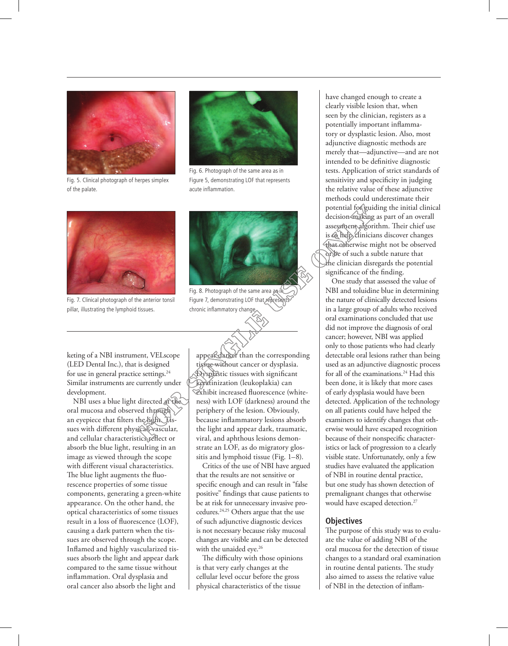

Fig. 5. Clinical photograph of herpes simplex of the palate.



Fig. 6. Photograph of the same area as in Figure 5, demonstrating LOF that represents acute inflammation.



Fig. 7. Clinical photograph of the anterior tonsil pillar, illustrating the lymphoid tissues.



Fig. 8. Photograph of the same area as in Figure 7, demonstrating LOF that represents chronic inflammatory change.

keting of a NBI instrument, VELscope (LED Dental Inc.), that is designed for use in general practice settings.<sup>24</sup> Similar instruments are currently under development.

NBI uses a blue light directed at the oral mucosa and observed through an eyepiece that filters the light. Tissues with different physical, vascular, and cellular characteristics reflect or absorb the blue light, resulting in an image as viewed through the scope with different visual characteristics. The blue light augments the fluorescence properties of some tissue components, generating a green-white appearance. On the other hand, the optical characteristics of some tissues result in a loss of fluorescence (LOF), causing a dark pattern when the tissues are observed through the scope. Inflamed and highly vascularized tissues absorb the light and appear dark compared to the same tissue without inflammation. Oral dysplasia and oral cancer also absorb the light and

appear darker than the corresponding tissue without cancer or dysplasia. Dysplastic tissues with significant keratinization (leukoplakia) can exhibit increased fluorescence (whiteness) with LOF (darkness) around the periphery of the lesion. Obviously, because inflammatory lesions absorb the light and appear dark, traumatic, viral, and aphthous lesions demonstrate an LOF, as do migratory glossitis and lymphoid tissue (Fig. 1–8).

Critics of the use of NBI have argued that the results are not sensitive or specific enough and can result in "false positive" findings that cause patients to be at risk for unnecessary invasive procedures.24,25 Others argue that the use of such adjunctive diagnostic devices is not necessary because risky mucosal changes are visible and can be detected with the unaided eye.<sup>26</sup>

The difficulty with those opinions is that very early changes at the cellular level occur before the gross physical characteristics of the tissue

have changed enough to create a clearly visible lesion that, when seen by the clinician, registers as a potentially important inflammatory or dysplastic lesion. Also, most adjunctive diagnostic methods are merely that—adjunctive—and are not intended to be definitive diagnostic tests. Application of strict standards of sensitivity and specificity in judging the relative value of these adjunctive methods could underestimate their potential for guiding the initial clinical decision-making as part of an overall assessment algorithm. Their chief use is to help clinicians discover changes that otherwise might not be observed or be of such a subtle nature that the clinician disregards the potential significance of the finding.

One study that assessed the value of NBI and toluidine blue in determining the nature of clinically detected lesions in a large group of adults who received oral examinations concluded that use did not improve the diagnosis of oral cancer; however, NBI was applied only to those patients who had clearly detectable oral lesions rather than being used as an adjunctive diagnostic process for all of the examinations.24 Had this been done, it is likely that more cases of early dysplasia would have been detected. Application of the technology on all patients could have helped the examiners to identify changes that otherwise would have escaped recognition because of their nonspecific characteristics or lack of progression to a clearly visible state. Unfortunately, only a few studies have evaluated the application of NBI in routine dental practice, but one study has shown detection of premalignant changes that otherwise would have escaped detection.<sup>27</sup>

# **Objectives**

The purpose of this study was to evaluate the value of adding NBI of the oral mucosa for the detection of tissue changes to a standard oral examination in routine dental patients. The study also aimed to assess the relative value of NBI in the detection of inflam-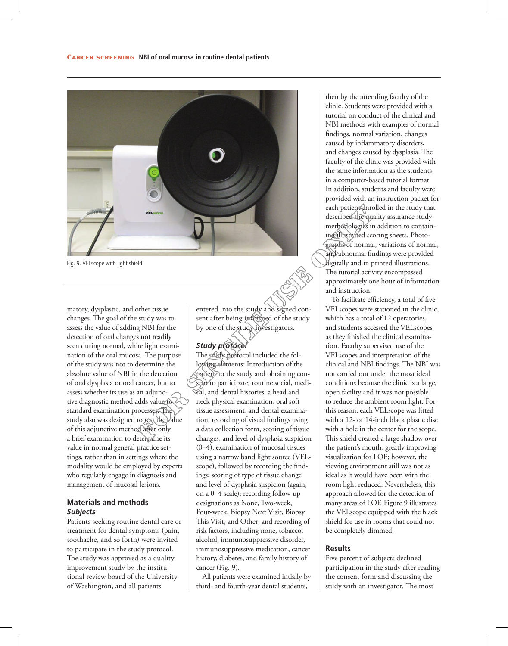

Fig. 9. VELscope with light shield.

matory, dysplastic, and other tissue changes. The goal of the study was to assess the value of adding NBI for the detection of oral changes not readily seen during normal, white light examination of the oral mucosa. The purpose of the study was not to determine the absolute value of NBI in the detection of oral dysplasia or oral cancer, but to assess whether its use as an adjunctive diagnostic method adds value to standard examination processes. The study also was designed to test the value of this adjunctive method after only a brief examination to determine its value in normal general practice settings, rather than in settings where the modality would be employed by experts who regularly engage in diagnosis and management of mucosal lesions.

# **Materials and methods** *Subjects*

Patients seeking routine dental care or treatment for dental symptoms (pain, toothache, and so forth) were invited to participate in the study protocol. The study was approved as a quality improvement study by the institutional review board of the University of Washington, and all patients

entered into the study and signed consent after being informed of the study by one of the study investigators.

## *Study protocol*

The study protocol included the following elements: Introduction of the patient to the study and obtaining consent to participate; routine social, medical, and dental histories; a head and neck physical examination, oral soft tissue assessment, and dental examination; recording of visual findings using a data collection form, scoring of tissue changes, and level of dysplasia suspicion (0–4); examination of mucosal tissues using a narrow band light source (VELscope), followed by recording the findings; scoring of type of tissue change and level of dysplasia suspicion (again, on a 0–4 scale); recording follow-up designations as None, Two-week, Four-week, Biopsy Next Visit, Biopsy This Visit, and Other; and recording of risk factors, including none, tobacco, alcohol, immunosuppressive disorder, immunosuppressive medication, cancer history, diabetes, and family history of cancer (Fig. 9).

All patients were examined intially by third- and fourth-year dental students,

then by the attending faculty of the clinic. Students were provided with a tutorial on conduct of the clinical and NBI methods with examples of normal findings, normal variation, changes caused by inflammatory disorders, and changes caused by dysplasia. The faculty of the clinic was provided with the same information as the students in a computer-based tutorial format. In addition, students and faculty were provided with an instruction packet for each patient enrolled in the study that described the quality assurance study methodologies in addition to containing illustrated scoring sheets. Photographs of normal, variations of normal, and abnormal findings were provided digitally and in printed illustrations. The tutorial activity encompassed approximately one hour of information and instruction.

To facilitate efficiency, a total of five VELscopes were stationed in the clinic, which has a total of 12 operatories, and students accessed the VELscopes as they finished the clinical examination. Faculty supervised use of the VELscopes and interpretation of the clinical and NBI findings. The NBI was not carried out under the most ideal conditions because the clinic is a large, open facility and it was not possible to reduce the ambient room light. For this reason, each VELscope was fitted with a 12- or 14-inch black plastic disc with a hole in the center for the scope. This shield created a large shadow over the patient's mouth, greatly improving visualization for LOF; however, the viewing environment still was not as ideal as it would have been with the room light reduced. Nevertheless, this approach allowed for the detection of many areas of LOF. Figure 9 illustrates the VELscope equipped with the black shield for use in rooms that could not be completely dimmed.

# **Results**

Five percent of subjects declined participation in the study after reading the consent form and discussing the study with an investigator. The most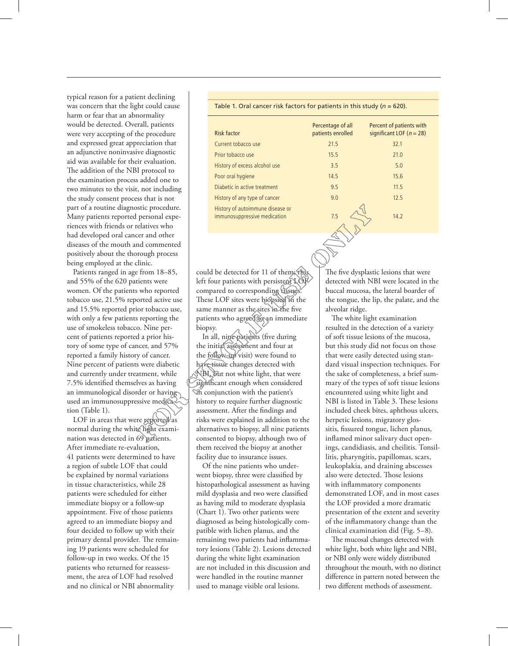typical reason for a patient declining was concern that the light could cause harm or fear that an abnormality would be detected. Overall, patients were very accepting of the procedure and expressed great appreciation that an adjunctive noninvasive diagnostic aid was available for their evaluation. The addition of the NBI protocol to the examination process added one to two minutes to the visit, not including the study consent process that is not part of a routine diagnostic procedure. Many patients reported personal experiences with friends or relatives who had developed oral cancer and other diseases of the mouth and commented positively about the thorough process being employed at the clinic.

Patients ranged in age from 18–85, and 55% of the 620 patients were women. Of the patients who reported tobacco use, 21.5% reported active use and 15.5% reported prior tobacco use, with only a few patients reporting the use of smokeless tobacco. Nine percent of patients reported a prior history of some type of cancer, and 57% reported a family history of cancer. Nine percent of patients were diabetic and currently under treatment, while 7.5% identified themselves as having an immunological disorder or having used an immunosuppressive medication (Table 1).

LOF in areas that were reported as normal during the white light examination was detected in 69 patients. After immediate re-evaluation, 41 patients were determined to have a region of subtle LOF that could be explained by normal variations in tissue characteristics, while 28 patients were scheduled for either immediate biopsy or a follow-up appointment. Five of those patients agreed to an immediate biopsy and four decided to follow up with their primary dental provider. The remaining 19 patients were scheduled for follow-up in two weeks. Of the 15 patients who returned for reassessment, the area of LOF had resolved and no clinical or NBI abnormality

Risk factor Percentage of all patients enrolled Percent of patients with significant LOF ( $n = 28$ ) Current tobacco use 21.5 32.1 Prior tobacco use 15.5 21.0

History of excess alcohol use 3.5 5.0 Poor oral hygiene 14.5 15.6 Diabetic in active treatment 11.5 History of any type of cancer 12.5 12.5

immunosuppressive medication 7.5 14.2

could be detected for 11 of them; this left four patients with persistent LOF compared to corresponding tissues. These LOF sites were biopsied in the same manner as the sites in the five patients who agreed to an immediate biopsy.

History of autoimmune disease or

In all, nine patients (five during the initial assessment and four at the follow-up visit) were found to have tissue changes detected with NBI, but not white light, that were significant enough when considered in conjunction with the patient's history to require further diagnostic assessment. After the findings and risks were explained in addition to the alternatives to biopsy, all nine patients consented to biopsy, although two of them received the biopsy at another facility due to insurance issues.

Of the nine patients who underwent biopsy, three were classified by histopathological assessment as having mild dysplasia and two were classified as having mild to moderate dysplasia (Chart 1). Two other patients were diagnosed as being histologically compatible with lichen planus, and the remaining two patients had inflammatory lesions (Table 2). Lesions detected during the white light examination are not included in this discussion and were handled in the routine manner used to manage visible oral lesions.

The five dysplastic lesions that were detected with NBI were located in the buccal mucosa, the lateral boarder of the tongue, the lip, the palate, and the alveolar ridge.

The white light examination resulted in the detection of a variety of soft tissue lesions of the mucosa, but this study did not focus on those that were easily detected using standard visual inspection techniques. For the sake of completeness, a brief summary of the types of soft tissue lesions encountered using white light and NBI is listed in Table 3. These lesions included cheek bites, aphthous ulcers, herpetic lesions, migratory glossitis, fissured tongue, lichen planus, inflamed minor salivary duct openings, candidiasis, and cheilitis. Tonsillitis, pharyngitis, papillomas, scars, leukoplakia, and draining abscesses also were detected. Those lesions with inflammatory components demonstrated LOF, and in most cases the LOF provided a more dramatic presentation of the extent and severity of the inflammatory change than the clinical examination did (Fig. 5–8).

The mucosal changes detected with white light, both white light and NBI, or NBI only were widely distributed throughout the mouth, with no distinct difference in pattern noted between the two different methods of assessment.

## Table 1. Oral cancer risk factors for patients in this study (*n* = 620).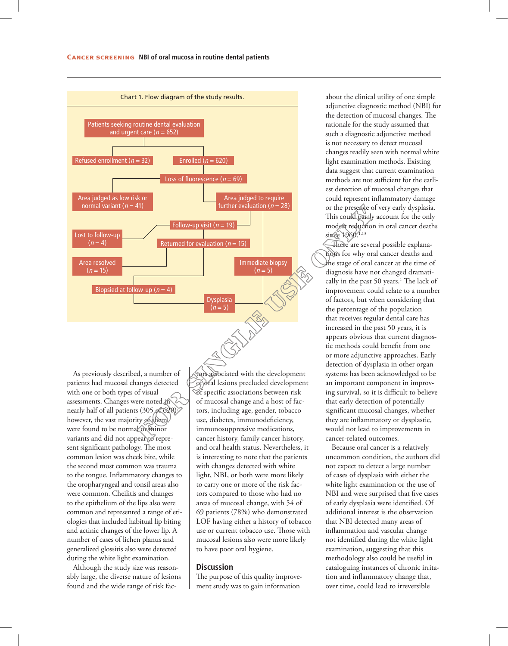

As previously described, a number of patients had mucosal changes detected with one or both types of visual assessments. Changes were noted in nearly half of all patients (305 of 620); however, the vast majority of them were found to be normal or minor variants and did not appear to represent significant pathology. The most common lesion was cheek bite, while the second most common was trauma to the tongue. Inflammatory changes to the oropharyngeal and tonsil areas also were common. Cheilitis and changes to the epithelium of the lips also were common and represented a range of etiologies that included habitual lip biting and actinic changes of the lower lip. A number of cases of lichen planus and generalized glossitis also were detected during the white light examination.

Although the study size was reasonably large, the diverse nature of lesions found and the wide range of risk factors associated with the development of oral lesions precluded development of specific associations between risk of mucosal change and a host of factors, including age, gender, tobacco use, diabetes, immunodeficiency, immunosuppressive medications, cancer history, family cancer history, and oral health status. Nevertheless, it is interesting to note that the patients with changes detected with white light, NBI, or both were more likely to carry one or more of the risk factors compared to those who had no areas of mucosal change, with 54 of 69 patients (78%) who demonstrated LOF having either a history of tobacco use or current tobacco use. Those with mucosal lesions also were more likely to have poor oral hygiene.

#### **Discussion**

The purpose of this quality improvement study was to gain information

about the clinical utility of one simple adjunctive diagnostic method (NBI) for the detection of mucosal changes. The rationale for the study assumed that such a diagnostic adjunctive method is not necessary to detect mucosal changes readily seen with normal white light examination methods. Existing data suggest that current examination methods are not sufficient for the earliest detection of mucosal changes that could represent inflammatory damage or the presence of very early dysplasia. This could partly account for the only modest reduction in oral cancer deaths since  $1960^{1,13}$ 

There are several possible explanations for why oral cancer deaths and the stage of oral cancer at the time of diagnosis have not changed dramatically in the past 50 years.<sup>1</sup> The lack of improvement could relate to a number of factors, but when considering that the percentage of the population that receives regular dental care has increased in the past 50 years, it is appears obvious that current diagnostic methods could benefit from one or more adjunctive approaches. Early detection of dysplasia in other organ systems has been acknowledged to be an important component in improving survival, so it is difficult to believe that early detection of potentially significant mucosal changes, whether they are inflammatory or dysplastic, would not lead to improvements in cancer-related outcomes.

Because oral cancer is a relatively uncommon condition, the authors did not expect to detect a large number of cases of dysplasia with either the white light examination or the use of NBI and were surprised that five cases of early dysplasia were identified. Of additional interest is the observation that NBI detected many areas of inflammation and vascular change not identified during the white light examination, suggesting that this methodology also could be useful in cataloguing instances of chronic irritation and inflammatory change that, over time, could lead to irreversible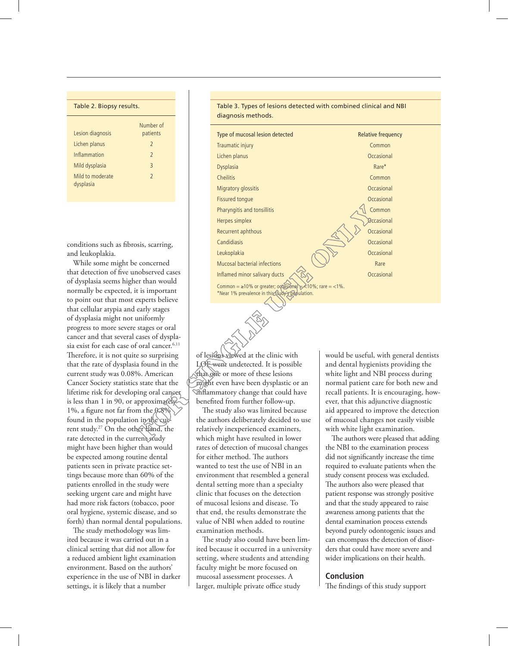| Table 2. Biopsy results.      |                          |
|-------------------------------|--------------------------|
| Lesion diagnosis              | Number of<br>patients    |
| Lichen planus                 | $\overline{2}$           |
| Inflammation                  | $\overline{\phantom{0}}$ |
| Mild dysplasia                | $\overline{3}$           |
| Mild to moderate<br>dysplasia | $\overline{\phantom{0}}$ |

conditions such as fibrosis, scarring, and leukoplakia.

While some might be concerned that detection of five unobserved cases of dysplasia seems higher than would normally be expected, it is important to point out that most experts believe that cellular atypia and early stages of dysplasia might not uniformly progress to more severe stages or oral cancer and that several cases of dysplasia exist for each case of oral cancer.<sup>6,11</sup> Therefore, it is not quite so surprising that the rate of dysplasia found in the current study was 0.08%. American Cancer Society statistics state that the lifetime risk for developing oral cancer is less than 1 in 90, or approximately 1%, a figure not far from the 0.8% found in the population in the current study.27 On the other hand, the rate detected in the current study might have been higher than would be expected among routine dental patients seen in private practice settings because more than 60% of the patients enrolled in the study were seeking urgent care and might have had more risk factors (tobacco, poor oral hygiene, systemic disease, and so forth) than normal dental populations.

The study methodology was limited because it was carried out in a clinical setting that did not allow for a reduced ambient light examination environment. Based on the authors' experience in the use of NBI in darker settings, it is likely that a number

Table 3. Types of lesions detected with combined clinical and NBI diagnosis methods.

| Type of mucosal lesion detected                                                                                   | <b>Relative frequency</b> |
|-------------------------------------------------------------------------------------------------------------------|---------------------------|
| Traumatic injury                                                                                                  | Common                    |
| Lichen planus                                                                                                     | Occasional                |
| <b>Dysplasia</b>                                                                                                  | Rare*                     |
| <b>Cheilitis</b>                                                                                                  | Common                    |
| Migratory glossitis                                                                                               | Occasional                |
| Fissured tonque                                                                                                   | Occasional                |
| Pharyngitis and tonsillitis                                                                                       | Common                    |
| Herpes simplex                                                                                                    | Occasional                |
| Recurrent aphthous                                                                                                | Occasional                |
| Candidiasis                                                                                                       | Occasional                |
| Leukoplakia                                                                                                       | Occasional                |
| Mucosal bacterial infections                                                                                      | Rare                      |
| Inflamed minor salivary ducts                                                                                     | Occasional                |
| Common = $\geq$ 10% or greater; occasional = <10%; rare = <1%.<br>*Near 1% prevalence in this study's population. |                           |

of lesions viewed at the clinic with LOF went undetected. It is possible that one or more of these lesions might even have been dysplastic or an inflammatory change that could have benefited from further follow-up.

The study also was limited because the authors deliberately decided to use relatively inexperienced examiners, which might have resulted in lower rates of detection of mucosal changes for either method. The authors wanted to test the use of NBI in an environment that resembled a general dental setting more than a specialty clinic that focuses on the detection of mucosal lesions and disease. To that end, the results demonstrate the value of NBI when added to routine examination methods.

The study also could have been limited because it occurred in a university setting, where students and attending faculty might be more focused on mucosal assessment processes. A larger, multiple private office study

would be useful, with general dentists and dental hygienists providing the white light and NBI process during normal patient care for both new and recall patients. It is encouraging, however, that this adjunctive diagnostic aid appeared to improve the detection of mucosal changes not easily visible with white light examination.

The authors were pleased that adding the NBI to the examination process did not significantly increase the time required to evaluate patients when the study consent process was excluded. The authors also were pleased that patient response was strongly positive and that the study appeared to raise awareness among patients that the dental examination process extends beyond purely odontogenic issues and can encompass the detection of disorders that could have more severe and wider implications on their health.

# **Conclusion**

The findings of this study support